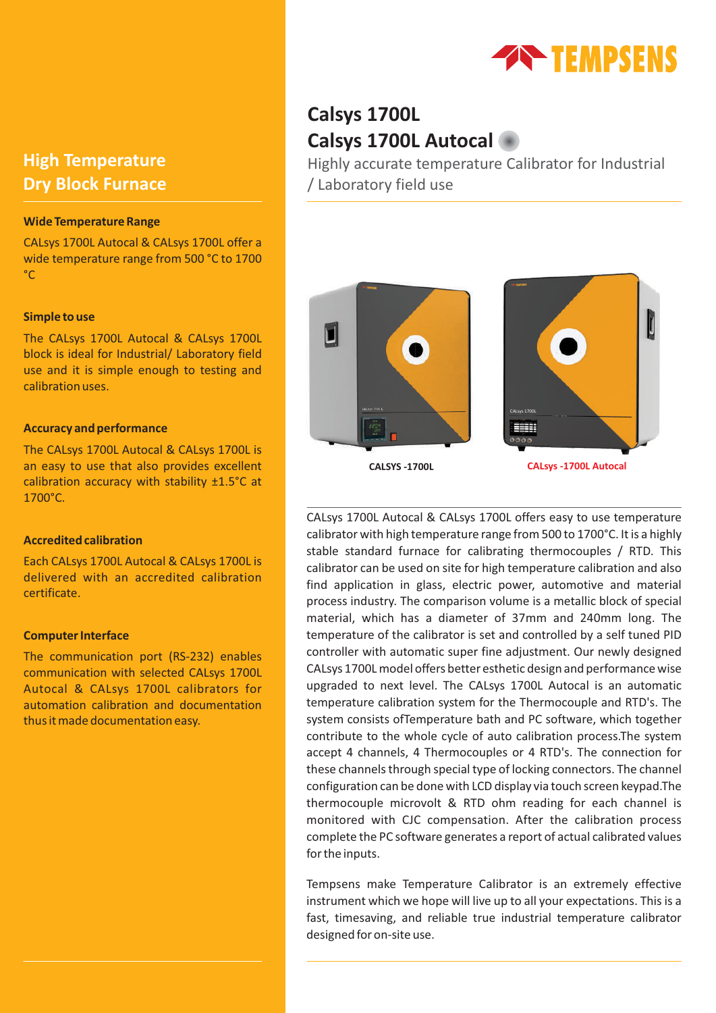

# **High Temperature Dry Block Furnace**

### **Wide Temperature Range**

CALsys 1700L Autocal & CALsys 1700L offer a wide temperature range from 500 °C to 1700 °C

### **Simple to use**

The CALsys 1700L Autocal & CALsys 1700L block is ideal for Industrial/ Laboratory field use and it is simple enough to testing and calibration uses.

### **Accuracy and performance**

The CALsys 1700L Autocal & CALsys 1700L is an easy to use that also provides excellent calibration accuracy with stability ±1.5°C at 1700°C.

#### **Accredited calibration**

Each CALsys 1700L Autocal & CALsys 1700L is delivered with an accredited calibration certificate.

### **Computer Interface**

The communication port (RS-232) enables communication with selected CALsys 1700L Autocal & CALsys 1700L calibrators for automation calibration and documentation thus it made documentation easy.

# **Calsys 1700L Calsys 1700L Autocal**

Highly accurate temperature Calibrator for Industrial / Laboratory field use



CALsys 1700L Autocal & CALsys 1700L offers easy to use temperature calibrator with high temperature range from 500 to 1700°C. It is a highly stable standard furnace for calibrating thermocouples / RTD. This calibrator can be used on site for high temperature calibration and also find application in glass, electric power, automotive and material process industry. The comparison volume is a metallic block of special material, which has a diameter of 37mm and 240mm long. The temperature of the calibrator is set and controlled by a self tuned PID controller with automatic super fine adjustment. Our newly designed CALsys 1700L model offers better esthetic design and performance wise upgraded to next level. The CALsys 1700L Autocal is an automatic temperature calibration system for the Thermocouple and RTD's. The system consists ofTemperature bath and PC software, which together contribute to the whole cycle of auto calibration process.The system accept 4 channels, 4 Thermocouples or 4 RTD's. The connection for these channels through special type of locking connectors. The channel configuration can be done with LCD display via touch screen keypad.The thermocouple microvolt & RTD ohm reading for each channel is monitored with CJC compensation. After the calibration process complete the PC software generates a report of actual calibrated values for the inputs.

Tempsens make Temperature Calibrator is an extremely effective instrument which we hope will live up to all your expectations. This is a fast, timesaving, and reliable true industrial temperature calibrator designed for on-site use.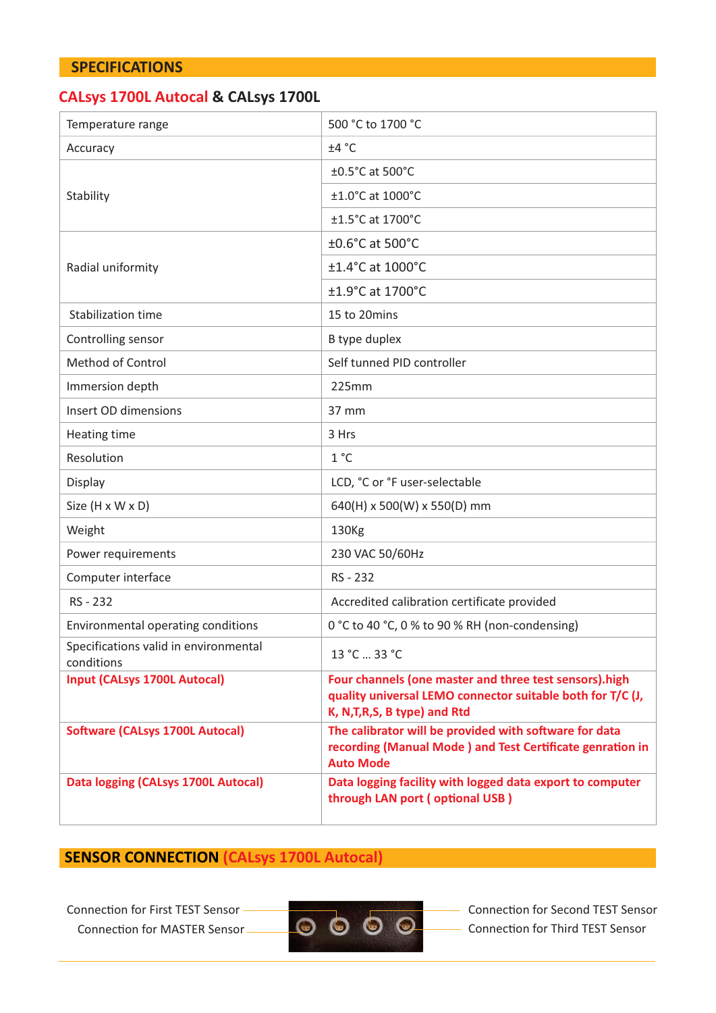# **SPECIFICATIONS**

# **CALsys 1700L Autocal & CALsys 1700L**

| Temperature range                                   | 500 °C to 1700 °C                                                                                                                                      |  |  |  |  |
|-----------------------------------------------------|--------------------------------------------------------------------------------------------------------------------------------------------------------|--|--|--|--|
| Accuracy                                            | ±4 °C                                                                                                                                                  |  |  |  |  |
|                                                     | ±0.5°C at 500°C                                                                                                                                        |  |  |  |  |
| Stability                                           | ±1.0°C at 1000°C                                                                                                                                       |  |  |  |  |
|                                                     | ±1.5°C at 1700°C                                                                                                                                       |  |  |  |  |
|                                                     | ±0.6°C at 500°C                                                                                                                                        |  |  |  |  |
| Radial uniformity                                   | ±1.4°C at 1000°C                                                                                                                                       |  |  |  |  |
|                                                     | ±1.9°C at 1700°C                                                                                                                                       |  |  |  |  |
| Stabilization time                                  | 15 to 20mins                                                                                                                                           |  |  |  |  |
| Controlling sensor                                  | B type duplex                                                                                                                                          |  |  |  |  |
| Method of Control                                   | Self tunned PID controller                                                                                                                             |  |  |  |  |
| Immersion depth                                     | 225mm                                                                                                                                                  |  |  |  |  |
| Insert OD dimensions                                | 37 mm                                                                                                                                                  |  |  |  |  |
| Heating time                                        | 3 Hrs                                                                                                                                                  |  |  |  |  |
| Resolution                                          | 1°C                                                                                                                                                    |  |  |  |  |
| Display                                             | LCD, °C or °F user-selectable                                                                                                                          |  |  |  |  |
| Size (H x W x D)                                    | 640(H) x 500(W) x 550(D) mm                                                                                                                            |  |  |  |  |
| Weight                                              | 130Kg                                                                                                                                                  |  |  |  |  |
| Power requirements                                  | 230 VAC 50/60Hz                                                                                                                                        |  |  |  |  |
| Computer interface                                  | RS - 232                                                                                                                                               |  |  |  |  |
| RS - 232                                            | Accredited calibration certificate provided                                                                                                            |  |  |  |  |
| Environmental operating conditions                  | 0 °C to 40 °C, 0 % to 90 % RH (non-condensing)                                                                                                         |  |  |  |  |
| Specifications valid in environmental<br>conditions | 13 °C  33 °C                                                                                                                                           |  |  |  |  |
| <b>Input (CALsys 1700L Autocal)</b>                 | Four channels (one master and three test sensors).high<br>quality universal LEMO connector suitable both for T/C (J,<br>K, N, T, R, S, B type) and Rtd |  |  |  |  |
| <b>Software (CALsys 1700L Autocal)</b>              | The calibrator will be provided with software for data<br>recording (Manual Mode) and Test Certificate genration in<br><b>Auto Mode</b>                |  |  |  |  |
| Data logging (CALsys 1700L Autocal)                 | Data logging facility with logged data export to computer<br>through LAN port (optional USB)                                                           |  |  |  |  |

# **SENSOR CONNECTION (CALsys 1700L Autocal)**

Connection for First TEST Sensor -Connection for MASTER Sensor



Connection for Second TEST Sensor Connection for Third TEST Sensor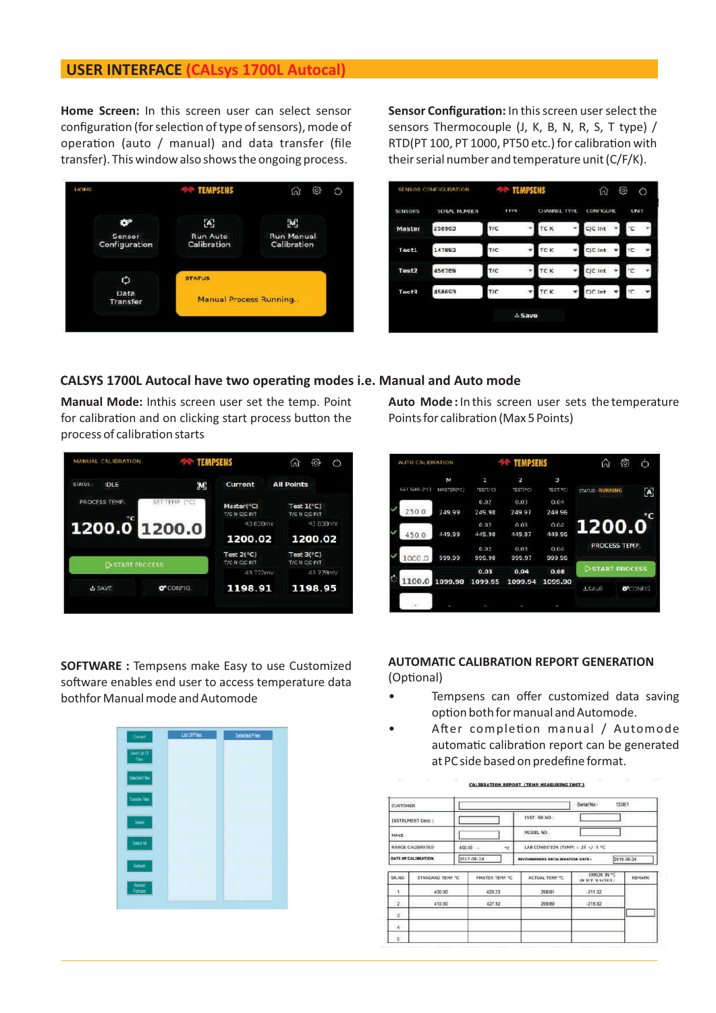# **USER INTERFACE (CALsys 1700L Autocal)**

**Home Screen:** In this screen user can select sensor configuration (for selection of type of sensors), mode of operation (auto / manual) and data transfer (file transfer). This window also shows the ongoing process.



Sensor Configuration: In this screen user select the sensors Thermocouple (J, K, B, N, R, S, T type) / RTD(PT 100, PT 1000, PT50 etc.) for calibration with their serial number and temperature unit (C/F/K).



## **CALSYS 1700L Autocal have two operang modes i.e. Manual and Auto mode**

**Manual Mode:** Inthis screen user set the temp. Point for calibration and on clicking start process button the process of calibration starts



Auto Mode: In this screen user sets the temperature Points for calibration (Max 5 Points)

| <b>ALITO CALIBRATION</b> |            | <b>TEMPSENS</b> |                |          | ía.                    | ි<br>Φ          |
|--------------------------|------------|-----------------|----------------|----------|------------------------|-----------------|
|                          | Μ          | 1               | $\overline{2}$ | э        |                        |                 |
| SET TEMP ("C)            | MASTER(*C) | TEST(*C)        | TEST(*C)       | TEST(*C) | <b>STATUS: RUNNING</b> | [A]             |
|                          |            | 0.02            | 0.03           | 0.04     |                        |                 |
| 250.0                    | 249.99     | 249.98          | 249.97         | 249.96   |                        |                 |
|                          |            | 0.02            | 0.03           | 0.04     | 1200.0                 |                 |
| 450.0                    | 449.99     | 449.98          | 449.97         | 449.96   |                        |                 |
|                          |            | 0.02            | 0.03           | 0.04     | <b>FROCESS TEMP.</b>   |                 |
| 1000.0                   | 999.99     | 999.98          | 999.97         | 999.96   |                        |                 |
|                          |            | 0.03            | 0.04           | 0.08     | START PROCESS          |                 |
| 1100.0                   | 1099.98    | 1099.95         | 1099.94        | 1099.90  |                        |                 |
|                          |            |                 |                |          | <b>LSAVE</b>           | <b>OPCONFIG</b> |
|                          |            |                 |                |          |                        |                 |

**SOFTWARE :** Tempsens make Easy to use Customized software enables end user to access temperature data bothfor Manual mode and Automode



### **AUTOMATIC CALIBRATION REPORT GENERATION** (Optional)

- 
- Tempsens can offer customized data saving option both for manual and Automode.
- After completion manual / Automode automatic calibration report can be generated at PC side based on predefine format.

| <b>CUSTOMER</b><br>INSTRUMENT Desc :<br>MAKE<br><b>RANGE CALIBRATED</b> |                         | 1336/1<br>Serial No.-  |                                     |                                       |               |  |  |
|-------------------------------------------------------------------------|-------------------------|------------------------|-------------------------------------|---------------------------------------|---------------|--|--|
|                                                                         |                         |                        | INST. SR.NO                         |                                       |               |  |  |
|                                                                         |                         |                        | MODEL NO.                           |                                       |               |  |  |
|                                                                         |                         | 400.00 -<br>*C.        | LAB CONDITION (TEMP) :- 25 +/- 5 °C |                                       |               |  |  |
| DATE OF CALIBRATION<br>2017-08-24                                       |                         |                        | RECOMMENDED RECALIBRATION DATE:     |                                       | 2018-08-24    |  |  |
| SR.NO                                                                   | <b>STANDARD TEMP *C</b> | <b>MASTER TEMP "C.</b> | <b>ACTUAL TEMP °C</b>               | <b>ERROR IN "C</b><br>(W.B.T. MASTER) | <b>REMARK</b> |  |  |
| $+1$                                                                    | 400.00                  | 420 23                 | 208.91                              | $-211.32$                             |               |  |  |
| 2.1                                                                     | 410.00                  | 427.82                 | 209.80                              | $-218.02$                             |               |  |  |
| ä.                                                                      |                         |                        |                                     |                                       |               |  |  |
| 41                                                                      |                         |                        |                                     |                                       |               |  |  |
|                                                                         |                         |                        |                                     |                                       |               |  |  |